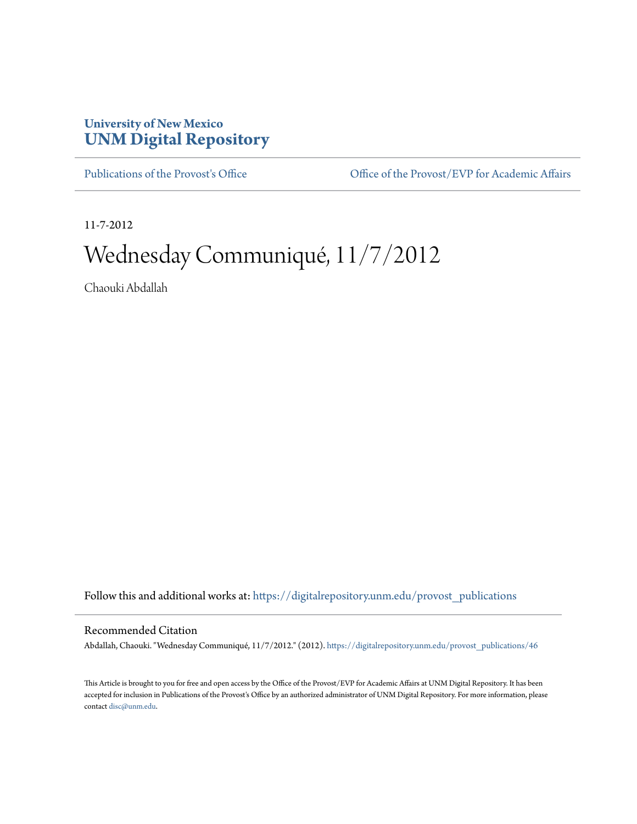## **University of New Mexico [UNM Digital Repository](https://digitalrepository.unm.edu?utm_source=digitalrepository.unm.edu%2Fprovost_publications%2F46&utm_medium=PDF&utm_campaign=PDFCoverPages)**

[Publications of the Provost's Office](https://digitalrepository.unm.edu/provost_publications?utm_source=digitalrepository.unm.edu%2Fprovost_publications%2F46&utm_medium=PDF&utm_campaign=PDFCoverPages) Office [Office of the Provost/EVP for Academic Affairs](https://digitalrepository.unm.edu/ofc_provost?utm_source=digitalrepository.unm.edu%2Fprovost_publications%2F46&utm_medium=PDF&utm_campaign=PDFCoverPages)

11-7-2012

# Wednesday Communiqué, 11/7/2012

Chaouki Abdallah

Follow this and additional works at: [https://digitalrepository.unm.edu/provost\\_publications](https://digitalrepository.unm.edu/provost_publications?utm_source=digitalrepository.unm.edu%2Fprovost_publications%2F46&utm_medium=PDF&utm_campaign=PDFCoverPages)

#### Recommended Citation

Abdallah, Chaouki. "Wednesday Communiqué, 11/7/2012." (2012). [https://digitalrepository.unm.edu/provost\\_publications/46](https://digitalrepository.unm.edu/provost_publications/46?utm_source=digitalrepository.unm.edu%2Fprovost_publications%2F46&utm_medium=PDF&utm_campaign=PDFCoverPages)

This Article is brought to you for free and open access by the Office of the Provost/EVP for Academic Affairs at UNM Digital Repository. It has been accepted for inclusion in Publications of the Provost's Office by an authorized administrator of UNM Digital Repository. For more information, please contact [disc@unm.edu.](mailto:disc@unm.edu)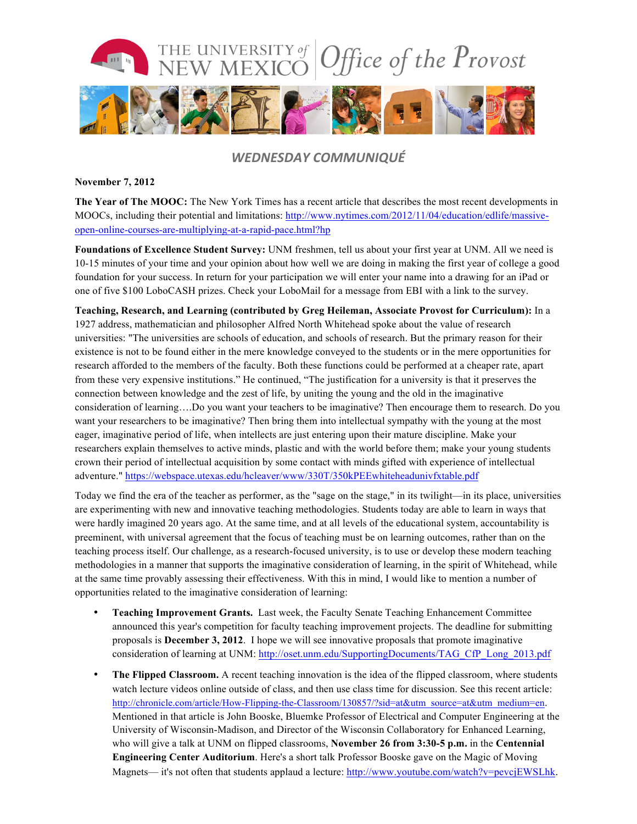

### *WEDNESDAY COMMUNIQUÉ*

#### **November 7, 2012**

**The Year of The MOOC:** The New York Times has a recent article that describes the most recent developments in MOOCs, including their potential and limitations: http://www.nytimes.com/2012/11/04/education/edlife/massiveopen-online-courses-are-multiplying-at-a-rapid-pace.html?hp

**Foundations of Excellence Student Survey:** UNM freshmen, tell us about your first year at UNM. All we need is 10-15 minutes of your time and your opinion about how well we are doing in making the first year of college a good foundation for your success. In return for your participation we will enter your name into a drawing for an iPad or one of five \$100 LoboCASH prizes. Check your LoboMail for a message from EBI with a link to the survey.

**Teaching, Research, and Learning (contributed by Greg Heileman, Associate Provost for Curriculum):** In a 1927 address, mathematician and philosopher Alfred North Whitehead spoke about the value of research universities: "The universities are schools of education, and schools of research. But the primary reason for their existence is not to be found either in the mere knowledge conveyed to the students or in the mere opportunities for research afforded to the members of the faculty. Both these functions could be performed at a cheaper rate, apart from these very expensive institutions." He continued, "The justification for a university is that it preserves the connection between knowledge and the zest of life, by uniting the young and the old in the imaginative consideration of learning….Do you want your teachers to be imaginative? Then encourage them to research. Do you want your researchers to be imaginative? Then bring them into intellectual sympathy with the young at the most eager, imaginative period of life, when intellects are just entering upon their mature discipline. Make your researchers explain themselves to active minds, plastic and with the world before them; make your young students crown their period of intellectual acquisition by some contact with minds gifted with experience of intellectual adventure." https://webspace.utexas.edu/hcleaver/www/330T/350kPEEwhiteheadunivfxtable.pdf

Today we find the era of the teacher as performer, as the "sage on the stage," in its twilight—in its place, universities are experimenting with new and innovative teaching methodologies. Students today are able to learn in ways that were hardly imagined 20 years ago. At the same time, and at all levels of the educational system, accountability is preeminent, with universal agreement that the focus of teaching must be on learning outcomes, rather than on the teaching process itself. Our challenge, as a research-focused university, is to use or develop these modern teaching methodologies in a manner that supports the imaginative consideration of learning, in the spirit of Whitehead, while at the same time provably assessing their effectiveness. With this in mind, I would like to mention a number of opportunities related to the imaginative consideration of learning:

- **Teaching Improvement Grants.** Last week, the Faculty Senate Teaching Enhancement Committee announced this year's competition for faculty teaching improvement projects. The deadline for submitting proposals is **December 3, 2012**. I hope we will see innovative proposals that promote imaginative consideration of learning at UNM: http://oset.unm.edu/SupportingDocuments/TAG\_CfP\_Long\_2013.pdf
- **The Flipped Classroom.** A recent teaching innovation is the idea of the flipped classroom, where students watch lecture videos online outside of class, and then use class time for discussion. See this recent article: http://chronicle.com/article/How-Flipping-the-Classroom/130857/?sid=at&utm\_source=at&utm\_medium=en. Mentioned in that article is John Booske, Bluemke Professor of Electrical and Computer Engineering at the University of Wisconsin-Madison, and Director of the Wisconsin Collaboratory for Enhanced Learning, who will give a talk at UNM on flipped classrooms, **November 26 from 3:30-5 p.m.** in the **Centennial Engineering Center Auditorium**. Here's a short talk Professor Booske gave on the Magic of Moving Magnets— it's not often that students applaud a lecture: http://www.youtube.com/watch?v=pevcjEWSLhk.